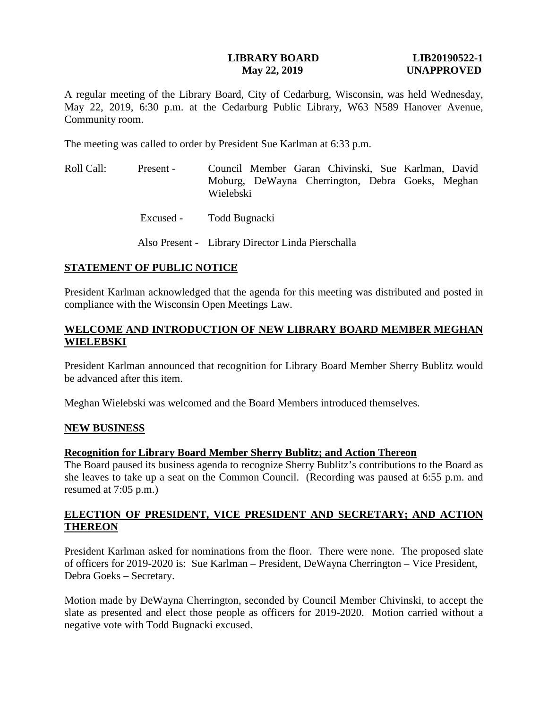## **LIBRARY BOARD LIB20190522-1 May 22, 2019 UNAPPROVED**

A regular meeting of the Library Board, City of Cedarburg, Wisconsin, was held Wednesday, May 22, 2019, 6:30 p.m. at the Cedarburg Public Library, W63 N589 Hanover Avenue, Community room.

The meeting was called to order by President Sue Karlman at 6:33 p.m.

- Roll Call: Present Council Member Garan Chivinski, Sue Karlman, David Moburg, DeWayna Cherrington, Debra Goeks, Meghan Wielebski
	- Excused Todd Bugnacki

Also Present - Library Director Linda Pierschalla

# **STATEMENT OF PUBLIC NOTICE**

President Karlman acknowledged that the agenda for this meeting was distributed and posted in compliance with the Wisconsin Open Meetings Law.

# **WELCOME AND INTRODUCTION OF NEW LIBRARY BOARD MEMBER MEGHAN WIELEBSKI**

President Karlman announced that recognition for Library Board Member Sherry Bublitz would be advanced after this item.

Meghan Wielebski was welcomed and the Board Members introduced themselves.

## **NEW BUSINESS**

## **Recognition for Library Board Member Sherry Bublitz; and Action Thereon**

The Board paused its business agenda to recognize Sherry Bublitz's contributions to the Board as she leaves to take up a seat on the Common Council. (Recording was paused at 6:55 p.m. and resumed at 7:05 p.m.)

# **ELECTION OF PRESIDENT, VICE PRESIDENT AND SECRETARY; AND ACTION THEREON**

President Karlman asked for nominations from the floor. There were none. The proposed slate of officers for 2019-2020 is: Sue Karlman – President, DeWayna Cherrington – Vice President, Debra Goeks – Secretary.

Motion made by DeWayna Cherrington, seconded by Council Member Chivinski, to accept the slate as presented and elect those people as officers for 2019-2020. Motion carried without a negative vote with Todd Bugnacki excused.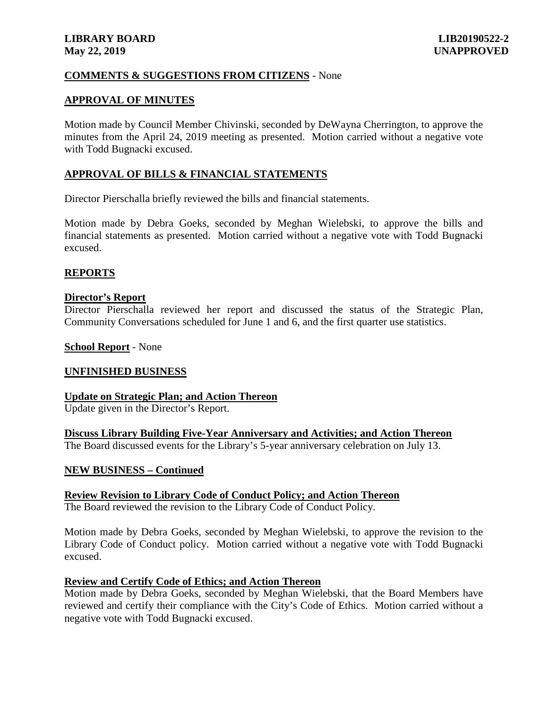## **COMMENTS & SUGGESTIONS FROM CITIZENS** - None

### **APPROVAL OF MINUTES**

Motion made by Council Member Chivinski, seconded by DeWayna Cherrington, to approve the minutes from the April 24, 2019 meeting as presented. Motion carried without a negative vote with Todd Bugnacki excused.

### **APPROVAL OF BILLS & FINANCIAL STATEMENTS**

Director Pierschalla briefly reviewed the bills and financial statements.

Motion made by Debra Goeks, seconded by Meghan Wielebski, to approve the bills and financial statements as presented. Motion carried without a negative vote with Todd Bugnacki excused.

### **REPORTS**

### **Director's Report**

Director Pierschalla reviewed her report and discussed the status of the Strategic Plan, Community Conversations scheduled for June 1 and 6, and the first quarter use statistics.

#### **School Report** - None

### **UNFINISHED BUSINESS**

### **Update on Strategic Plan; and Action Thereon**

Update given in the Director's Report.

**Discuss Library Building Five-Year Anniversary and Activities; and Action Thereon** The Board discussed events for the Library's 5-year anniversary celebration on July 13.

### **NEW BUSINESS – Continued**

**Review Revision to Library Code of Conduct Policy; and Action Thereon**

The Board reviewed the revision to the Library Code of Conduct Policy.

Motion made by Debra Goeks, seconded by Meghan Wielebski, to approve the revision to the Library Code of Conduct policy. Motion carried without a negative vote with Todd Bugnacki excused.

### **Review and Certify Code of Ethics; and Action Thereon**

Motion made by Debra Goeks, seconded by Meghan Wielebski, that the Board Members have reviewed and certify their compliance with the City's Code of Ethics. Motion carried without a negative vote with Todd Bugnacki excused.